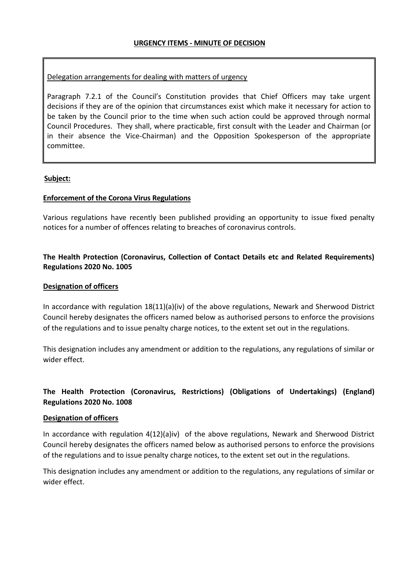### Delegation arrangements for dealing with matters of urgency

Paragraph 7.2.1 of the Council's Constitution provides that Chief Officers may take urgent decisions if they are of the opinion that circumstances exist which make it necessary for action to be taken by the Council prior to the time when such action could be approved through normal Council Procedures. They shall, where practicable, first consult with the Leader and Chairman (or in their absence the Vice-Chairman) and the Opposition Spokesperson of the appropriate committee.

### **Subject:**

### **Enforcement of the Corona Virus Regulations**

Various regulations have recently been published providing an opportunity to issue fixed penalty notices for a number of offences relating to breaches of coronavirus controls.

## **The Health Protection (Coronavirus, Collection of Contact Details etc and Related Requirements) Regulations 2020 No. 1005**

#### **Designation of officers**

In accordance with regulation 18(11)(a)(iv) of the above regulations, Newark and Sherwood District Council hereby designates the officers named below as authorised persons to enforce the provisions of the regulations and to issue penalty charge notices, to the extent set out in the regulations.

This designation includes any amendment or addition to the regulations, any regulations of similar or wider effect.

# **The Health Protection (Coronavirus, Restrictions) (Obligations of Undertakings) (England) Regulations 2020 No. 1008**

#### **Designation of officers**

In accordance with regulation 4(12)(a)iv) of the above regulations, Newark and Sherwood District Council hereby designates the officers named below as authorised persons to enforce the provisions of the regulations and to issue penalty charge notices, to the extent set out in the regulations.

This designation includes any amendment or addition to the regulations, any regulations of similar or wider effect.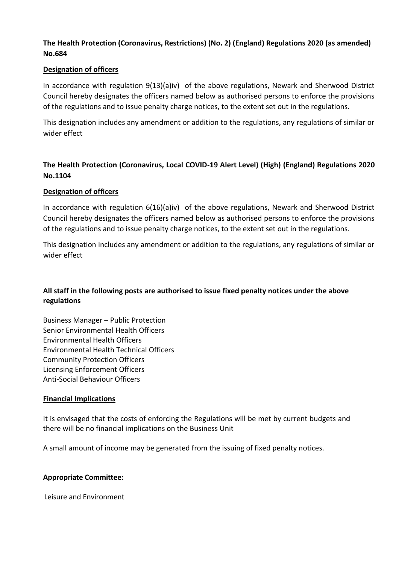# **The Health Protection (Coronavirus, Restrictions) (No. 2) (England) Regulations 2020 (as amended) No.684**

### **Designation of officers**

In accordance with regulation 9(13)(a)iv) of the above regulations, Newark and Sherwood District Council hereby designates the officers named below as authorised persons to enforce the provisions of the regulations and to issue penalty charge notices, to the extent set out in the regulations.

This designation includes any amendment or addition to the regulations, any regulations of similar or wider effect

# **The Health Protection (Coronavirus, Local COVID-19 Alert Level) (High) (England) Regulations 2020 No.1104**

### **Designation of officers**

In accordance with regulation 6(16)(a)iv) of the above regulations, Newark and Sherwood District Council hereby designates the officers named below as authorised persons to enforce the provisions of the regulations and to issue penalty charge notices, to the extent set out in the regulations.

This designation includes any amendment or addition to the regulations, any regulations of similar or wider effect

# **All staff in the following posts are authorised to issue fixed penalty notices under the above regulations**

Business Manager – Public Protection Senior Environmental Health Officers Environmental Health Officers Environmental Health Technical Officers Community Protection Officers Licensing Enforcement Officers Anti-Social Behaviour Officers

## **Financial Implications**

It is envisaged that the costs of enforcing the Regulations will be met by current budgets and there will be no financial implications on the Business Unit

A small amount of income may be generated from the issuing of fixed penalty notices.

#### **Appropriate Committee:**

Leisure and Environment